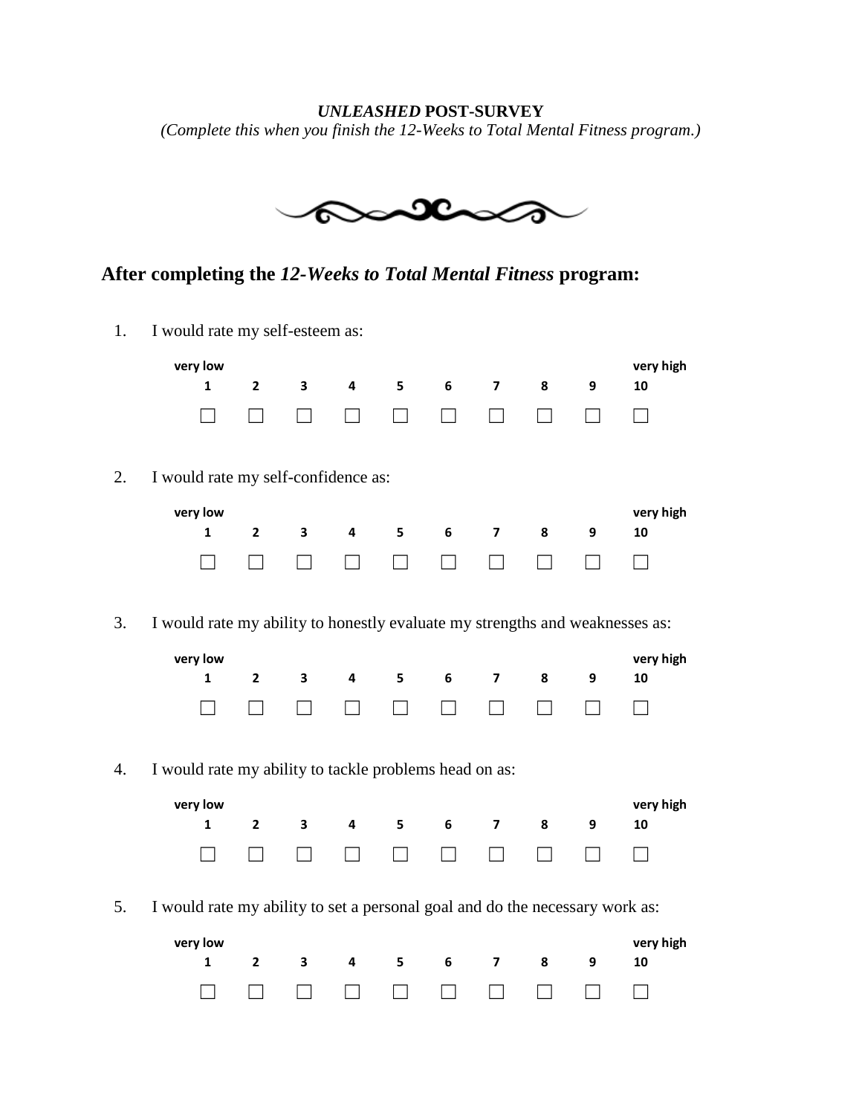## *UNLEASHED* **POST-SURVEY** *(Complete this when you finish the 12-Weeks to Total Mental Fitness program.)*



## **After completing the** *12-Weeks to Total Mental Fitness* **program:**

1. I would rate my self-esteem as:

|          | very low<br>1                                                                                                                                           | $\mathbf{2}$ | 3 | 4 | 5 | 6 | $\overline{\mathbf{z}}$ | 8 | 9 | very high<br>10 |
|----------|---------------------------------------------------------------------------------------------------------------------------------------------------------|--------------|---|---|---|---|-------------------------|---|---|-----------------|
| 2.       | I would rate my self-confidence as:                                                                                                                     |              |   |   |   |   |                         |   |   |                 |
|          | very low                                                                                                                                                |              |   |   |   |   |                         |   |   | very high       |
|          | $\mathbf{1}$                                                                                                                                            | $\mathbf{2}$ | 3 | 4 | 5 | 6 | $\overline{\mathbf{z}}$ | 8 | 9 | 10              |
|          |                                                                                                                                                         |              |   |   |   |   |                         |   |   |                 |
| 3.<br>4. | I would rate my ability to honestly evaluate my strengths and weaknesses as:<br>very low<br>1<br>I would rate my ability to tackle problems head on as: | $\mathbf{2}$ | 3 | 4 | 5 | 6 | $\overline{ }$          | 8 | 9 | very high<br>10 |
|          | very low                                                                                                                                                |              |   |   |   |   |                         |   |   | very high       |
|          | $\mathbf{1}$                                                                                                                                            | $\mathbf{2}$ | 3 | 4 | 5 | 6 | 7                       | 8 | 9 | 10              |
|          |                                                                                                                                                         |              |   |   |   |   |                         |   |   |                 |
| 5.       | I would rate my ability to set a personal goal and do the necessary work as:                                                                            |              |   |   |   |   |                         |   |   |                 |
|          | very low                                                                                                                                                |              |   |   |   |   |                         |   |   | very high       |
|          | $\mathbf{1}$                                                                                                                                            | $\mathbf{2}$ | 3 | 4 | 5 | 6 | 7                       | 8 | 9 | 10              |
|          |                                                                                                                                                         |              |   |   |   |   |                         |   |   |                 |